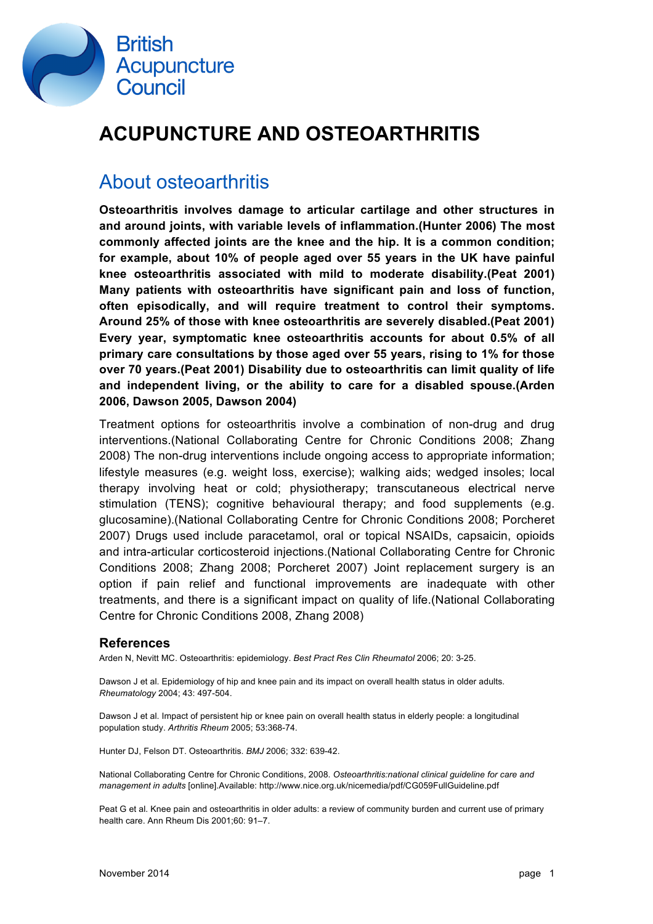

## **ACUPUNCTURE AND OSTEOARTHRITIS**

### About osteoarthritis

**Osteoarthritis involves damage to articular cartilage and other structures in and around joints, with variable levels of inflammation.(Hunter 2006) The most commonly affected joints are the knee and the hip. It is a common condition; for example, about 10% of people aged over 55 years in the UK have painful knee osteoarthritis associated with mild to moderate disability.(Peat 2001) Many patients with osteoarthritis have significant pain and loss of function, often episodically, and will require treatment to control their symptoms. Around 25% of those with knee osteoarthritis are severely disabled.(Peat 2001) Every year, symptomatic knee osteoarthritis accounts for about 0.5% of all primary care consultations by those aged over 55 years, rising to 1% for those over 70 years.(Peat 2001) Disability due to osteoarthritis can limit quality of life and independent living, or the ability to care for a disabled spouse.(Arden 2006, Dawson 2005, Dawson 2004)**

Treatment options for osteoarthritis involve a combination of non-drug and drug interventions.(National Collaborating Centre for Chronic Conditions 2008; Zhang 2008) The non-drug interventions include ongoing access to appropriate information; lifestyle measures (e.g. weight loss, exercise); walking aids; wedged insoles; local therapy involving heat or cold; physiotherapy; transcutaneous electrical nerve stimulation (TENS); cognitive behavioural therapy; and food supplements (e.g. glucosamine).(National Collaborating Centre for Chronic Conditions 2008; Porcheret 2007) Drugs used include paracetamol, oral or topical NSAIDs, capsaicin, opioids and intra-articular corticosteroid injections.(National Collaborating Centre for Chronic Conditions 2008; Zhang 2008; Porcheret 2007) Joint replacement surgery is an option if pain relief and functional improvements are inadequate with other treatments, and there is a significant impact on quality of life.(National Collaborating Centre for Chronic Conditions 2008, Zhang 2008)

#### **References**

Arden N, Nevitt MC. Osteoarthritis: epidemiology. *Best Pract Res Clin Rheumatol* 2006; 20: 3-25.

Dawson J et al. Epidemiology of hip and knee pain and its impact on overall health status in older adults. *Rheumatology* 2004; 43: 497-504.

Dawson J et al. Impact of persistent hip or knee pain on overall health status in elderly people: a longitudinal population study. *Arthritis Rheum* 2005; 53:368-74.

Hunter DJ, Felson DT. Osteoarthritis. *BMJ* 2006; 332: 639-42.

National Collaborating Centre for Chronic Conditions, 2008. *Osteoarthritis:national clinical guideline for care and management in adults* [online].Available: http://www.nice.org.uk/nicemedia/pdf/CG059FullGuideline.pdf

Peat G et al. Knee pain and osteoarthritis in older adults: a review of community burden and current use of primary health care. Ann Rheum Dis 2001;60: 91–7.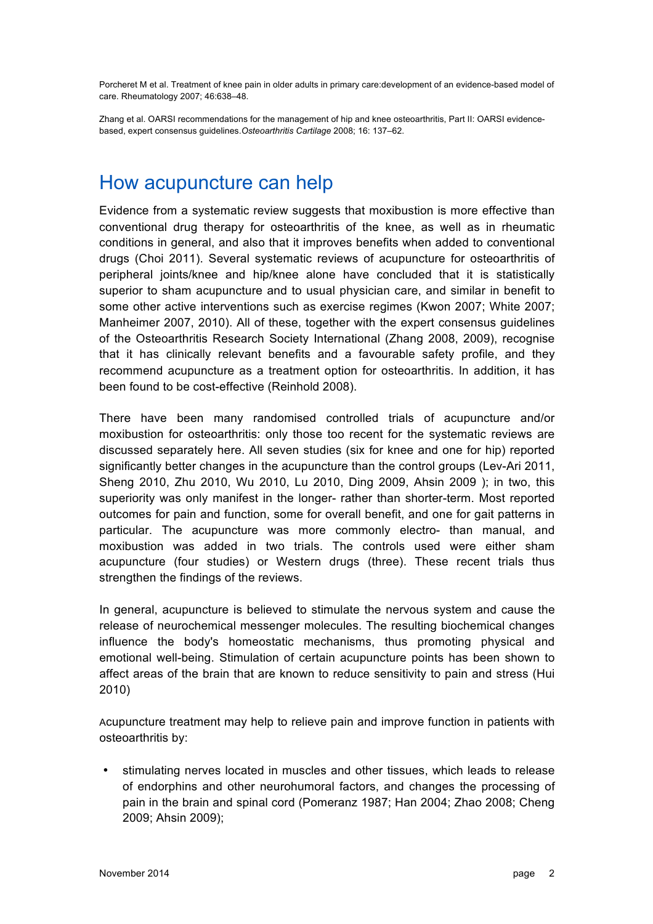Porcheret M et al. Treatment of knee pain in older adults in primary care:development of an evidence-based model of care. Rheumatology 2007; 46:638–48.

Zhang et al. OARSI recommendations for the management of hip and knee osteoarthritis, Part II: OARSI evidencebased, expert consensus guidelines.*Osteoarthritis Cartilage* 2008; 16: 137–62.

#### How acupuncture can help

Evidence from a systematic review suggests that moxibustion is more effective than conventional drug therapy for osteoarthritis of the knee, as well as in rheumatic conditions in general, and also that it improves benefits when added to conventional drugs (Choi 2011). Several systematic reviews of acupuncture for osteoarthritis of peripheral joints/knee and hip/knee alone have concluded that it is statistically superior to sham acupuncture and to usual physician care, and similar in benefit to some other active interventions such as exercise regimes (Kwon 2007; White 2007; Manheimer 2007, 2010). All of these, together with the expert consensus guidelines of the Osteoarthritis Research Society International (Zhang 2008, 2009), recognise that it has clinically relevant benefits and a favourable safety profile, and they recommend acupuncture as a treatment option for osteoarthritis. In addition, it has been found to be cost-effective (Reinhold 2008).

There have been many randomised controlled trials of acupuncture and/or moxibustion for osteoarthritis: only those too recent for the systematic reviews are discussed separately here. All seven studies (six for knee and one for hip) reported significantly better changes in the acupuncture than the control groups (Lev-Ari 2011, Sheng 2010, Zhu 2010, Wu 2010, Lu 2010, Ding 2009, Ahsin 2009 ); in two, this superiority was only manifest in the longer- rather than shorter-term. Most reported outcomes for pain and function, some for overall benefit, and one for gait patterns in particular. The acupuncture was more commonly electro- than manual, and moxibustion was added in two trials. The controls used were either sham acupuncture (four studies) or Western drugs (three). These recent trials thus strengthen the findings of the reviews.

In general, acupuncture is believed to stimulate the nervous system and cause the release of neurochemical messenger molecules. The resulting biochemical changes influence the body's homeostatic mechanisms, thus promoting physical and emotional well-being. Stimulation of certain acupuncture points has been shown to affect areas of the brain that are known to reduce sensitivity to pain and stress (Hui 2010)

Acupuncture treatment may help to relieve pain and improve function in patients with osteoarthritis by:

• stimulating nerves located in muscles and other tissues, which leads to release of endorphins and other neurohumoral factors, and changes the processing of pain in the brain and spinal cord (Pomeranz 1987; Han 2004; Zhao 2008; Cheng 2009; Ahsin 2009);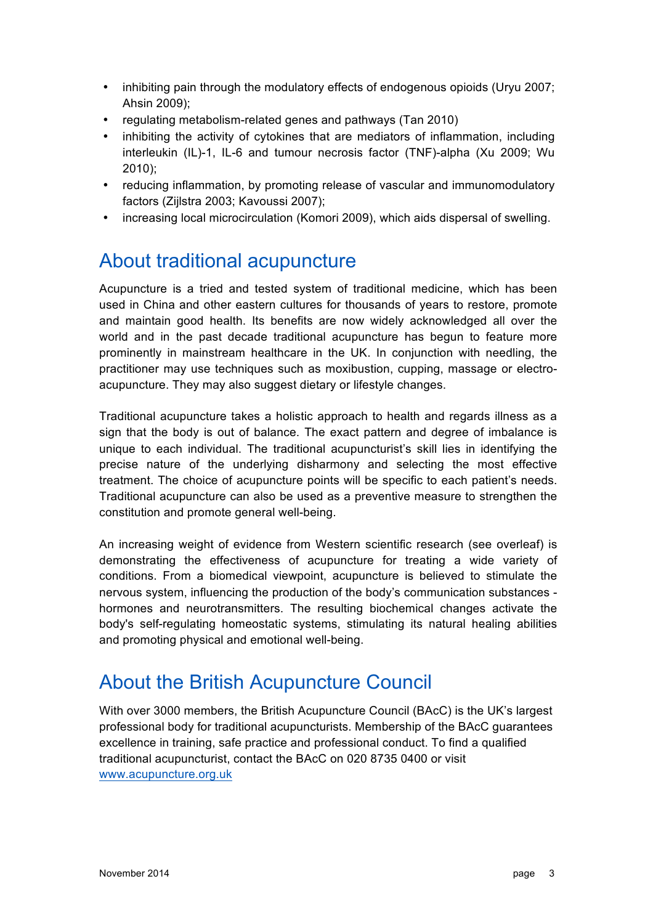- inhibiting pain through the modulatory effects of endogenous opioids (Uryu 2007; Ahsin 2009);
- regulating metabolism-related genes and pathways (Tan 2010)
- inhibiting the activity of cytokines that are mediators of inflammation, including interleukin (IL)-1, IL-6 and tumour necrosis factor (TNF)-alpha (Xu 2009; Wu 2010);
- reducing inflammation, by promoting release of vascular and immunomodulatory factors (Zijlstra 2003; Kavoussi 2007);
- increasing local microcirculation (Komori 2009), which aids dispersal of swelling.

### About traditional acupuncture

Acupuncture is a tried and tested system of traditional medicine, which has been used in China and other eastern cultures for thousands of years to restore, promote and maintain good health. Its benefits are now widely acknowledged all over the world and in the past decade traditional acupuncture has begun to feature more prominently in mainstream healthcare in the UK. In conjunction with needling, the practitioner may use techniques such as moxibustion, cupping, massage or electroacupuncture. They may also suggest dietary or lifestyle changes.

Traditional acupuncture takes a holistic approach to health and regards illness as a sign that the body is out of balance. The exact pattern and degree of imbalance is unique to each individual. The traditional acupuncturist's skill lies in identifying the precise nature of the underlying disharmony and selecting the most effective treatment. The choice of acupuncture points will be specific to each patient's needs. Traditional acupuncture can also be used as a preventive measure to strengthen the constitution and promote general well-being.

An increasing weight of evidence from Western scientific research (see overleaf) is demonstrating the effectiveness of acupuncture for treating a wide variety of conditions. From a biomedical viewpoint, acupuncture is believed to stimulate the nervous system, influencing the production of the body's communication substances hormones and neurotransmitters. The resulting biochemical changes activate the body's self-regulating homeostatic systems, stimulating its natural healing abilities and promoting physical and emotional well-being.

### About the British Acupuncture Council

With over 3000 members, the British Acupuncture Council (BAcC) is the UK's largest professional body for traditional acupuncturists. Membership of the BAcC guarantees excellence in training, safe practice and professional conduct. To find a qualified traditional acupuncturist, contact the BAcC on 020 8735 0400 or visit www.acupuncture.org.uk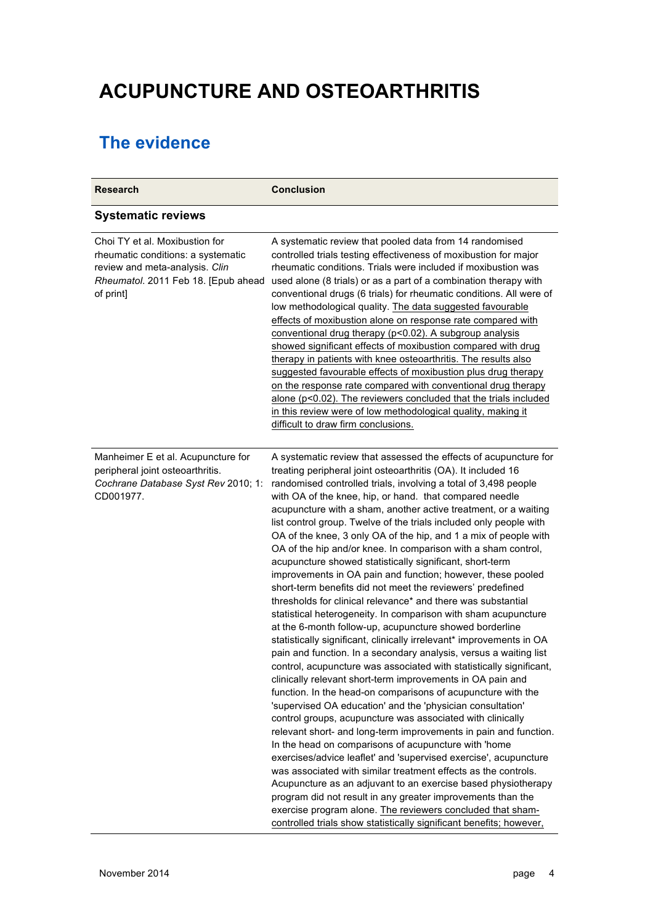# **ACUPUNCTURE AND OSTEOARTHRITIS**

### **The evidence**

| <b>Research</b>                                                                                                                                            | <b>Conclusion</b>                                                                                                                                                                                                                                                                                                                                                                                                                                                                                                                                                                                                                                                                                                                                                                                                                                                                                                                                                                                                                                                                                                                                                                                                                                                                                                                                                                                                                                                                                                                                                                                                                                                                                                                                                                                                                                                                                                                                        |
|------------------------------------------------------------------------------------------------------------------------------------------------------------|----------------------------------------------------------------------------------------------------------------------------------------------------------------------------------------------------------------------------------------------------------------------------------------------------------------------------------------------------------------------------------------------------------------------------------------------------------------------------------------------------------------------------------------------------------------------------------------------------------------------------------------------------------------------------------------------------------------------------------------------------------------------------------------------------------------------------------------------------------------------------------------------------------------------------------------------------------------------------------------------------------------------------------------------------------------------------------------------------------------------------------------------------------------------------------------------------------------------------------------------------------------------------------------------------------------------------------------------------------------------------------------------------------------------------------------------------------------------------------------------------------------------------------------------------------------------------------------------------------------------------------------------------------------------------------------------------------------------------------------------------------------------------------------------------------------------------------------------------------------------------------------------------------------------------------------------------------|
| <b>Systematic reviews</b>                                                                                                                                  |                                                                                                                                                                                                                                                                                                                                                                                                                                                                                                                                                                                                                                                                                                                                                                                                                                                                                                                                                                                                                                                                                                                                                                                                                                                                                                                                                                                                                                                                                                                                                                                                                                                                                                                                                                                                                                                                                                                                                          |
| Choi TY et al. Moxibustion for<br>rheumatic conditions: a systematic<br>review and meta-analysis. Clin<br>Rheumatol. 2011 Feb 18. [Epub ahead<br>of print] | A systematic review that pooled data from 14 randomised<br>controlled trials testing effectiveness of moxibustion for major<br>rheumatic conditions. Trials were included if moxibustion was<br>used alone (8 trials) or as a part of a combination therapy with<br>conventional drugs (6 trials) for rheumatic conditions. All were of<br>low methodological quality. The data suggested favourable<br>effects of moxibustion alone on response rate compared with<br>conventional drug therapy (p<0.02). A subgroup analysis<br>showed significant effects of moxibustion compared with drug<br>therapy in patients with knee osteoarthritis. The results also<br>suggested favourable effects of moxibustion plus drug therapy<br>on the response rate compared with conventional drug therapy<br>alone (p<0.02). The reviewers concluded that the trials included<br>in this review were of low methodological quality, making it<br>difficult to draw firm conclusions.                                                                                                                                                                                                                                                                                                                                                                                                                                                                                                                                                                                                                                                                                                                                                                                                                                                                                                                                                                             |
| Manheimer E et al. Acupuncture for<br>peripheral joint osteoarthritis.<br>Cochrane Database Syst Rev 2010; 1:<br>CD001977.                                 | A systematic review that assessed the effects of acupuncture for<br>treating peripheral joint osteoarthritis (OA). It included 16<br>randomised controlled trials, involving a total of 3,498 people<br>with OA of the knee, hip, or hand. that compared needle<br>acupuncture with a sham, another active treatment, or a waiting<br>list control group. Twelve of the trials included only people with<br>OA of the knee, 3 only OA of the hip, and 1 a mix of people with<br>OA of the hip and/or knee. In comparison with a sham control,<br>acupuncture showed statistically significant, short-term<br>improvements in OA pain and function; however, these pooled<br>short-term benefits did not meet the reviewers' predefined<br>thresholds for clinical relevance* and there was substantial<br>statistical heterogeneity. In comparison with sham acupuncture<br>at the 6-month follow-up, acupuncture showed borderline<br>statistically significant, clinically irrelevant* improvements in OA<br>pain and function. In a secondary analysis, versus a waiting list<br>control, acupuncture was associated with statistically significant,<br>clinically relevant short-term improvements in OA pain and<br>function. In the head-on comparisons of acupuncture with the<br>'supervised OA education' and the 'physician consultation'<br>control groups, acupuncture was associated with clinically<br>relevant short- and long-term improvements in pain and function.<br>In the head on comparisons of acupuncture with 'home<br>exercises/advice leaflet' and 'supervised exercise', acupuncture<br>was associated with similar treatment effects as the controls.<br>Acupuncture as an adjuvant to an exercise based physiotherapy<br>program did not result in any greater improvements than the<br>exercise program alone. The reviewers concluded that sham-<br>controlled trials show statistically significant benefits; however, |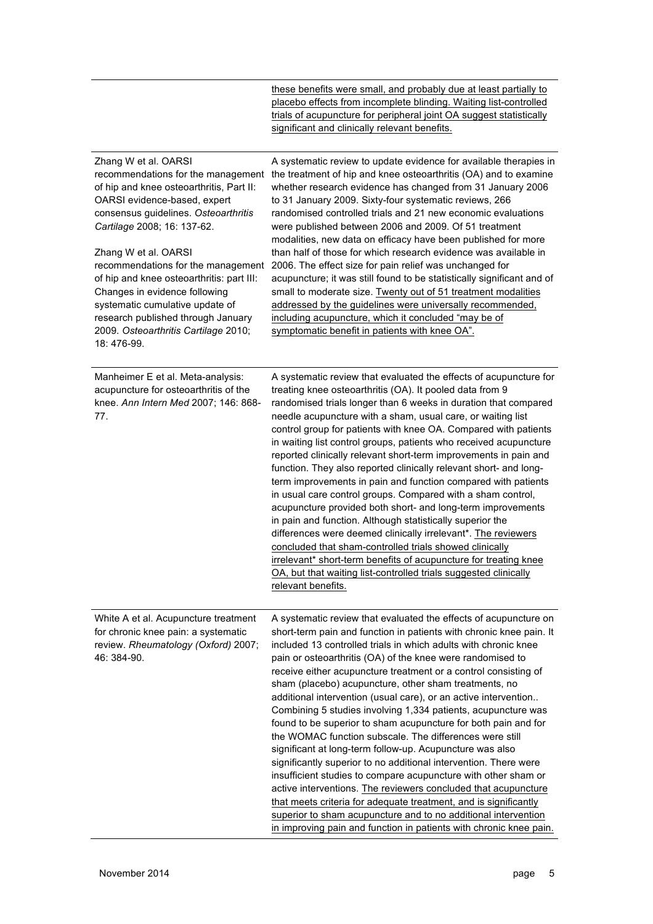|                                                                                                                                                                                                                                                                                                                                                                                                                                                    | these benefits were small, and probably due at least partially to<br>placebo effects from incomplete blinding. Waiting list-controlled<br>trials of acupuncture for peripheral joint OA suggest statistically<br>significant and clinically relevant benefits.                                                                                                                                                                                                                                                                                                                                                                                                                                                                                                                                                                                                                                                                                                                                                                                                                                                                                        |
|----------------------------------------------------------------------------------------------------------------------------------------------------------------------------------------------------------------------------------------------------------------------------------------------------------------------------------------------------------------------------------------------------------------------------------------------------|-------------------------------------------------------------------------------------------------------------------------------------------------------------------------------------------------------------------------------------------------------------------------------------------------------------------------------------------------------------------------------------------------------------------------------------------------------------------------------------------------------------------------------------------------------------------------------------------------------------------------------------------------------------------------------------------------------------------------------------------------------------------------------------------------------------------------------------------------------------------------------------------------------------------------------------------------------------------------------------------------------------------------------------------------------------------------------------------------------------------------------------------------------|
| Zhang W et al. OARSI<br>of hip and knee osteoarthritis, Part II:<br>OARSI evidence-based, expert<br>consensus guidelines. Osteoarthritis<br>Cartilage 2008; 16: 137-62.<br>Zhang W et al. OARSI<br>recommendations for the management<br>of hip and knee osteoarthritis: part III:<br>Changes in evidence following<br>systematic cumulative update of<br>research published through January<br>2009. Osteoarthritis Cartilage 2010;<br>18:476-99. | A systematic review to update evidence for available therapies in<br>recommendations for the management the treatment of hip and knee osteoarthritis (OA) and to examine<br>whether research evidence has changed from 31 January 2006<br>to 31 January 2009. Sixty-four systematic reviews, 266<br>randomised controlled trials and 21 new economic evaluations<br>were published between 2006 and 2009. Of 51 treatment<br>modalities, new data on efficacy have been published for more<br>than half of those for which research evidence was available in<br>2006. The effect size for pain relief was unchanged for<br>acupuncture; it was still found to be statistically significant and of<br>small to moderate size. Twenty out of 51 treatment modalities<br>addressed by the guidelines were universally recommended,<br>including acupuncture, which it concluded "may be of<br>symptomatic benefit in patients with knee OA".                                                                                                                                                                                                            |
| Manheimer E et al. Meta-analysis:<br>acupuncture for osteoarthritis of the<br>knee. Ann Intern Med 2007; 146: 868-<br>77.                                                                                                                                                                                                                                                                                                                          | A systematic review that evaluated the effects of acupuncture for<br>treating knee osteoarthritis (OA). It pooled data from 9<br>randomised trials longer than 6 weeks in duration that compared<br>needle acupuncture with a sham, usual care, or waiting list<br>control group for patients with knee OA. Compared with patients<br>in waiting list control groups, patients who received acupuncture<br>reported clinically relevant short-term improvements in pain and<br>function. They also reported clinically relevant short- and long-<br>term improvements in pain and function compared with patients<br>in usual care control groups. Compared with a sham control,<br>acupuncture provided both short- and long-term improvements<br>in pain and function. Although statistically superior the<br>differences were deemed clinically irrelevant*. The reviewers<br>concluded that sham-controlled trials showed clinically<br>irrelevant* short-term benefits of acupuncture for treating knee<br>OA, but that waiting list-controlled trials suggested clinically<br>relevant benefits.                                                |
| White A et al. Acupuncture treatment<br>for chronic knee pain: a systematic<br>review. Rheumatology (Oxford) 2007;<br>46: 384-90.                                                                                                                                                                                                                                                                                                                  | A systematic review that evaluated the effects of acupuncture on<br>short-term pain and function in patients with chronic knee pain. It<br>included 13 controlled trials in which adults with chronic knee<br>pain or osteoarthritis (OA) of the knee were randomised to<br>receive either acupuncture treatment or a control consisting of<br>sham (placebo) acupuncture, other sham treatments, no<br>additional intervention (usual care), or an active intervention<br>Combining 5 studies involving 1,334 patients, acupuncture was<br>found to be superior to sham acupuncture for both pain and for<br>the WOMAC function subscale. The differences were still<br>significant at long-term follow-up. Acupuncture was also<br>significantly superior to no additional intervention. There were<br>insufficient studies to compare acupuncture with other sham or<br>active interventions. The reviewers concluded that acupuncture<br>that meets criteria for adequate treatment, and is significantly<br>superior to sham acupuncture and to no additional intervention<br>in improving pain and function in patients with chronic knee pain. |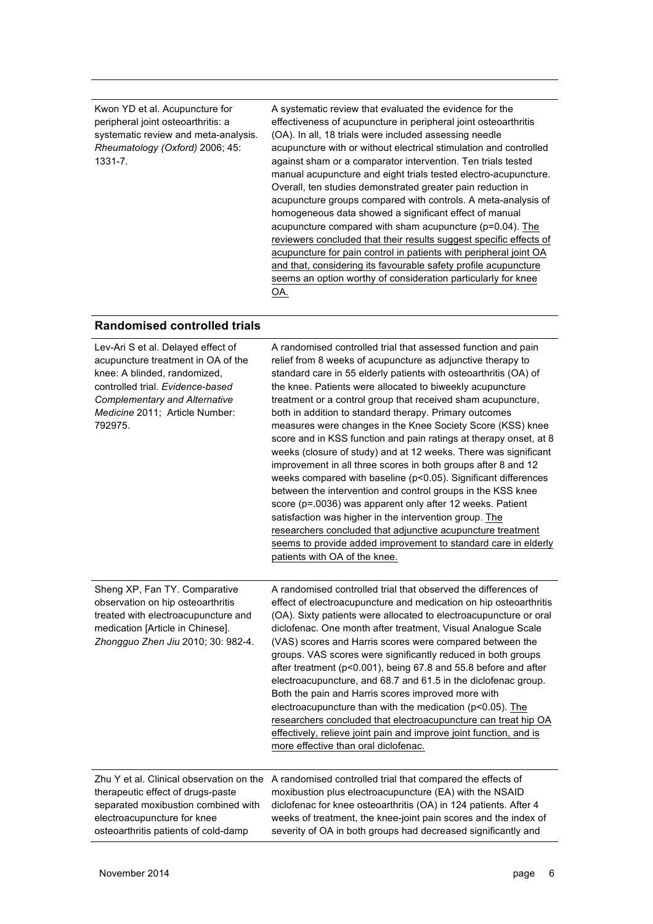Kwon YD et al. Acupuncture for peripheral joint osteoarthritis: a systematic review and meta-analysis. *Rheumatology (Oxford)* 2006; 45: 1331-7.

A systematic review that evaluated the evidence for the effectiveness of acupuncture in peripheral joint osteoarthritis (OA). In all, 18 trials were included assessing needle acupuncture with or without electrical stimulation and controlled against sham or a comparator intervention. Ten trials tested manual acupuncture and eight trials tested electro-acupuncture. Overall, ten studies demonstrated greater pain reduction in acupuncture groups compared with controls. A meta-analysis of homogeneous data showed a significant effect of manual acupuncture compared with sham acupuncture (p=0.04). The reviewers concluded that their results suggest specific effects of acupuncture for pain control in patients with peripheral joint OA and that, considering its favourable safety profile acupuncture seems an option worthy of consideration particularly for knee OA.

#### **Randomised controlled trials**

| Lev-Ari S et al. Delayed effect of<br>acupuncture treatment in OA of the<br>knee: A blinded, randomized,<br>controlled trial. Evidence-based<br><b>Complementary and Alternative</b><br>Medicine 2011; Article Number:<br>792975. | A randomised controlled trial that assessed function and pain<br>relief from 8 weeks of acupuncture as adjunctive therapy to<br>standard care in 55 elderly patients with osteoarthritis (OA) of<br>the knee. Patients were allocated to biweekly acupuncture<br>treatment or a control group that received sham acupuncture,<br>both in addition to standard therapy. Primary outcomes<br>measures were changes in the Knee Society Score (KSS) knee<br>score and in KSS function and pain ratings at therapy onset, at 8<br>weeks (closure of study) and at 12 weeks. There was significant<br>improvement in all three scores in both groups after 8 and 12<br>weeks compared with baseline (p<0.05). Significant differences<br>between the intervention and control groups in the KSS knee<br>score (p=.0036) was apparent only after 12 weeks. Patient<br>satisfaction was higher in the intervention group. The<br>researchers concluded that adjunctive acupuncture treatment<br>seems to provide added improvement to standard care in elderly<br>patients with OA of the knee. |
|-----------------------------------------------------------------------------------------------------------------------------------------------------------------------------------------------------------------------------------|------------------------------------------------------------------------------------------------------------------------------------------------------------------------------------------------------------------------------------------------------------------------------------------------------------------------------------------------------------------------------------------------------------------------------------------------------------------------------------------------------------------------------------------------------------------------------------------------------------------------------------------------------------------------------------------------------------------------------------------------------------------------------------------------------------------------------------------------------------------------------------------------------------------------------------------------------------------------------------------------------------------------------------------------------------------------------------------|
| Sheng XP, Fan TY. Comparative<br>observation on hip osteoarthritis<br>treated with electroacupuncture and<br>medication [Article in Chinese].<br>Zhongguo Zhen Jiu 2010; 30: 982-4.                                               | A randomised controlled trial that observed the differences of<br>effect of electroacupuncture and medication on hip osteoarthritis<br>(OA). Sixty patients were allocated to electroacupuncture or oral<br>diclofenac. One month after treatment, Visual Analogue Scale<br>(VAS) scores and Harris scores were compared between the<br>groups. VAS scores were significantly reduced in both groups<br>after treatment (p<0.001), being 67.8 and 55.8 before and after<br>electroacupuncture, and 68.7 and 61.5 in the diclofenac group.<br>Both the pain and Harris scores improved more with<br>electroacupuncture than with the medication (p<0.05). The<br>researchers concluded that electroacupuncture can treat hip OA<br>effectively, relieve joint pain and improve joint function, and is<br>more effective than oral diclofenac.                                                                                                                                                                                                                                             |
| Zhu Y et al. Clinical observation on the<br>therapeutic effect of drugs-paste<br>separated moxibustion combined with<br>electroacupuncture for knee<br>osteoarthritis patients of cold-damp                                       | A randomised controlled trial that compared the effects of<br>moxibustion plus electroacupuncture (EA) with the NSAID<br>diclofenac for knee osteoarthritis (OA) in 124 patients. After 4<br>weeks of treatment, the knee-joint pain scores and the index of<br>severity of OA in both groups had decreased significantly and                                                                                                                                                                                                                                                                                                                                                                                                                                                                                                                                                                                                                                                                                                                                                            |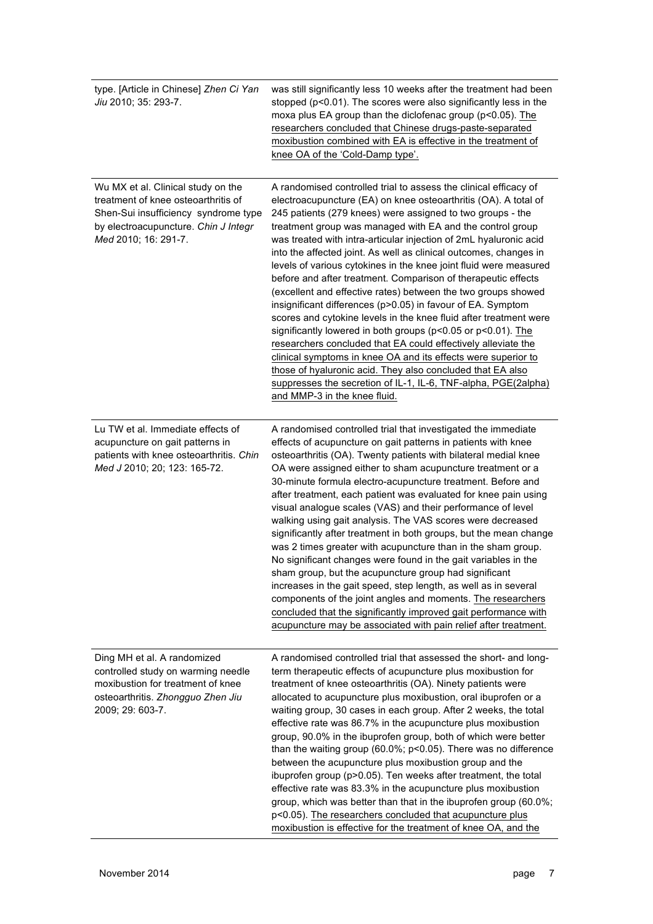| type. [Article in Chinese] Zhen Ci Yan<br>Jiu 2010; 35: 293-7.                                                                                                                    | was still significantly less 10 weeks after the treatment had been<br>stopped (p<0.01). The scores were also significantly less in the<br>moxa plus EA group than the diclofenac group (p<0.05). The<br>researchers concluded that Chinese drugs-paste-separated<br>moxibustion combined with EA is effective in the treatment of<br>knee OA of the 'Cold-Damp type'.                                                                                                                                                                                                                                                                                                                                                                                                                                                                                                                                                                                                                                                                                                                                                           |
|-----------------------------------------------------------------------------------------------------------------------------------------------------------------------------------|---------------------------------------------------------------------------------------------------------------------------------------------------------------------------------------------------------------------------------------------------------------------------------------------------------------------------------------------------------------------------------------------------------------------------------------------------------------------------------------------------------------------------------------------------------------------------------------------------------------------------------------------------------------------------------------------------------------------------------------------------------------------------------------------------------------------------------------------------------------------------------------------------------------------------------------------------------------------------------------------------------------------------------------------------------------------------------------------------------------------------------|
| Wu MX et al. Clinical study on the<br>treatment of knee osteoarthritis of<br>Shen-Sui insufficiency syndrome type<br>by electroacupuncture. Chin J Integr<br>Med 2010; 16: 291-7. | A randomised controlled trial to assess the clinical efficacy of<br>electroacupuncture (EA) on knee osteoarthritis (OA). A total of<br>245 patients (279 knees) were assigned to two groups - the<br>treatment group was managed with EA and the control group<br>was treated with intra-articular injection of 2mL hyaluronic acid<br>into the affected joint. As well as clinical outcomes, changes in<br>levels of various cytokines in the knee joint fluid were measured<br>before and after treatment. Comparison of therapeutic effects<br>(excellent and effective rates) between the two groups showed<br>insignificant differences (p>0.05) in favour of EA. Symptom<br>scores and cytokine levels in the knee fluid after treatment were<br>significantly lowered in both groups ( $p < 0.05$ or $p < 0.01$ ). The<br>researchers concluded that EA could effectively alleviate the<br>clinical symptoms in knee OA and its effects were superior to<br>those of hyaluronic acid. They also concluded that EA also<br>suppresses the secretion of IL-1, IL-6, TNF-alpha, PGE(2alpha)<br>and MMP-3 in the knee fluid. |
| Lu TW et al. Immediate effects of<br>acupuncture on gait patterns in<br>patients with knee osteoarthritis. Chin<br>Med J 2010; 20; 123: 165-72.                                   | A randomised controlled trial that investigated the immediate<br>effects of acupuncture on gait patterns in patients with knee<br>osteoarthritis (OA). Twenty patients with bilateral medial knee<br>OA were assigned either to sham acupuncture treatment or a<br>30-minute formula electro-acupuncture treatment. Before and<br>after treatment, each patient was evaluated for knee pain using<br>visual analogue scales (VAS) and their performance of level<br>walking using gait analysis. The VAS scores were decreased<br>significantly after treatment in both groups, but the mean change<br>was 2 times greater with acupuncture than in the sham group.<br>No significant changes were found in the gait variables in the<br>sham group, but the acupuncture group had significant<br>increases in the gait speed, step length, as well as in several<br>components of the joint angles and moments. The researchers<br>concluded that the significantly improved gait performance with<br>acupuncture may be associated with pain relief after treatment.                                                          |
| Ding MH et al. A randomized<br>controlled study on warming needle<br>moxibustion for treatment of knee<br>osteoarthritis. Zhongguo Zhen Jiu<br>2009; 29: 603-7.                   | A randomised controlled trial that assessed the short- and long-<br>term therapeutic effects of acupuncture plus moxibustion for<br>treatment of knee osteoarthritis (OA). Ninety patients were<br>allocated to acupuncture plus moxibustion, oral ibuprofen or a<br>waiting group, 30 cases in each group. After 2 weeks, the total<br>effective rate was 86.7% in the acupuncture plus moxibustion<br>group, 90.0% in the ibuprofen group, both of which were better<br>than the waiting group (60.0%; p<0.05). There was no difference<br>between the acupuncture plus moxibustion group and the<br>ibuprofen group (p>0.05). Ten weeks after treatment, the total<br>effective rate was 83.3% in the acupuncture plus moxibustion<br>group, which was better than that in the ibuprofen group (60.0%;<br>p<0.05). The researchers concluded that acupuncture plus<br>moxibustion is effective for the treatment of knee OA, and the                                                                                                                                                                                         |